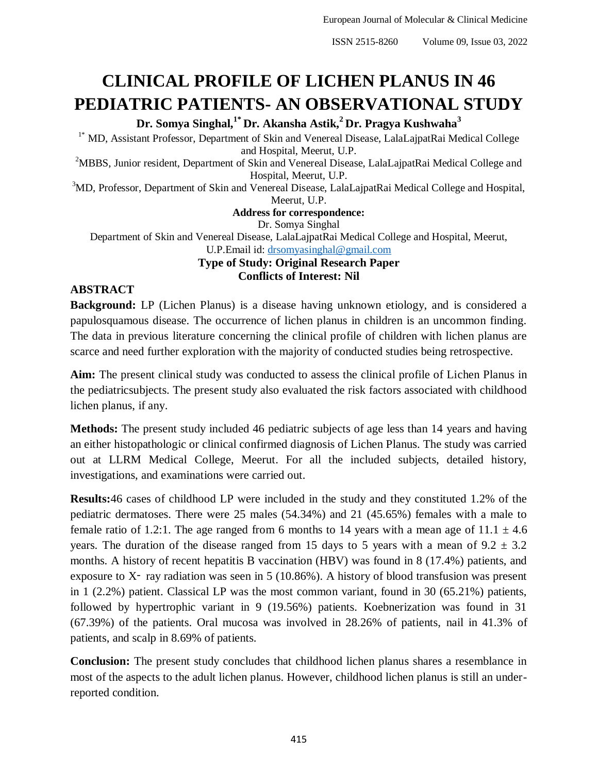# **CLINICAL PROFILE OF LICHEN PLANUS IN 46 PEDIATRIC PATIENTS- AN OBSERVATIONAL STUDY**

**Dr. Somya Singhal,1\* Dr. Akansha Astik,<sup>2</sup>Dr. Pragya Kushwaha<sup>3</sup>**

<sup>1\*</sup> MD, Assistant Professor, Department of Skin and Venereal Disease, LalaLajpatRai Medical College and Hospital, Meerut, U.P.

<sup>2</sup>MBBS, Junior resident, Department of Skin and Venereal Disease, LalaLajpatRai Medical College and Hospital, Meerut, U.P.

<sup>3</sup>MD, Professor, Department of Skin and Venereal Disease, LalaLajpatRai Medical College and Hospital, Meerut, U.P.

**Address for correspondence:**

Dr. Somya Singhal

Department of Skin and Venereal Disease, LalaLajpatRai Medical College and Hospital, Meerut, U.P.Email id: [drsomyasinghal@gmail.com](mailto:drsomyasinghal@gmail.com)

# **Type of Study: Original Research Paper Conflicts of Interest: Nil**

# **ABSTRACT**

**Background:** LP (Lichen Planus) is a disease having unknown etiology, and is considered a papulosquamous disease. The occurrence of lichen planus in children is an uncommon finding. The data in previous literature concerning the clinical profile of children with lichen planus are scarce and need further exploration with the majority of conducted studies being retrospective.

**Aim:** The present clinical study was conducted to assess the clinical profile of Lichen Planus in the pediatricsubjects. The present study also evaluated the risk factors associated with childhood lichen planus, if any.

**Methods:** The present study included 46 pediatric subjects of age less than 14 years and having an either histopathologic or clinical confirmed diagnosis of Lichen Planus. The study was carried out at LLRM Medical College, Meerut. For all the included subjects, detailed history, investigations, and examinations were carried out.

**Results:**46 cases of childhood LP were included in the study and they constituted 1.2% of the pediatric dermatoses. There were 25 males (54.34%) and 21 (45.65%) females with a male to female ratio of 1.2:1. The age ranged from 6 months to 14 years with a mean age of 11.1  $\pm$  4.6 years. The duration of the disease ranged from 15 days to 5 years with a mean of  $9.2 \pm 3.2$ months. A history of recent hepatitis B vaccination (HBV) was found in 8 (17.4%) patients, and exposure to  $X$ - ray radiation was seen in 5 (10.86%). A history of blood transfusion was present in 1 (2.2%) patient. Classical LP was the most common variant, found in 30 (65.21%) patients, followed by hypertrophic variant in 9 (19.56%) patients. Koebnerization was found in 31 (67.39%) of the patients. Oral mucosa was involved in 28.26% of patients, nail in 41.3% of patients, and scalp in 8.69% of patients.

**Conclusion:** The present study concludes that childhood lichen planus shares a resemblance in most of the aspects to the adult lichen planus. However, childhood lichen planus is still an underreported condition.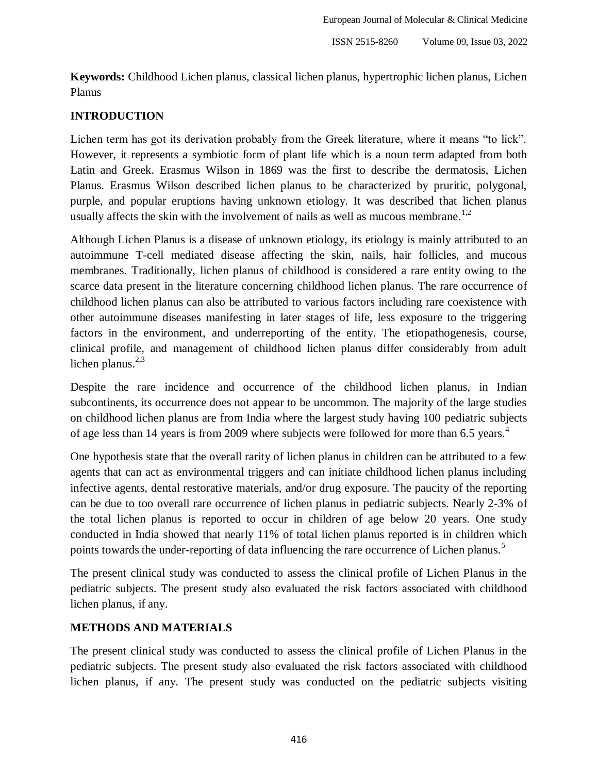**Keywords:** Childhood Lichen planus, classical lichen planus, hypertrophic lichen planus, Lichen Planus

# **INTRODUCTION**

Lichen term has got its derivation probably from the Greek literature, where it means "to lick". However, it represents a symbiotic form of plant life which is a noun term adapted from both Latin and Greek. Erasmus Wilson in 1869 was the first to describe the dermatosis, Lichen Planus. Erasmus Wilson described lichen planus to be characterized by pruritic, polygonal, purple, and popular eruptions having unknown etiology. It was described that lichen planus usually affects the skin with the involvement of nails as well as mucous membrane.<sup>1,2</sup>

Although Lichen Planus is a disease of unknown etiology, its etiology is mainly attributed to an autoimmune T-cell mediated disease affecting the skin, nails, hair follicles, and mucous membranes. Traditionally, lichen planus of childhood is considered a rare entity owing to the scarce data present in the literature concerning childhood lichen planus. The rare occurrence of childhood lichen planus can also be attributed to various factors including rare coexistence with other autoimmune diseases manifesting in later stages of life, less exposure to the triggering factors in the environment, and underreporting of the entity. The etiopathogenesis, course, clinical profile, and management of childhood lichen planus differ considerably from adult lichen planus. $2,3$ 

Despite the rare incidence and occurrence of the childhood lichen planus, in Indian subcontinents, its occurrence does not appear to be uncommon. The majority of the large studies on childhood lichen planus are from India where the largest study having 100 pediatric subjects of age less than 14 years is from 2009 where subjects were followed for more than 6.5 years.<sup>4</sup>

One hypothesis state that the overall rarity of lichen planus in children can be attributed to a few agents that can act as environmental triggers and can initiate childhood lichen planus including infective agents, dental restorative materials, and/or drug exposure. The paucity of the reporting can be due to too overall rare occurrence of lichen planus in pediatric subjects. Nearly 2-3% of the total lichen planus is reported to occur in children of age below 20 years. One study conducted in India showed that nearly 11% of total lichen planus reported is in children which points towards the under-reporting of data influencing the rare occurrence of Lichen planus.<sup>5</sup>

The present clinical study was conducted to assess the clinical profile of Lichen Planus in the pediatric subjects. The present study also evaluated the risk factors associated with childhood lichen planus, if any.

# **METHODS AND MATERIALS**

The present clinical study was conducted to assess the clinical profile of Lichen Planus in the pediatric subjects. The present study also evaluated the risk factors associated with childhood lichen planus, if any. The present study was conducted on the pediatric subjects visiting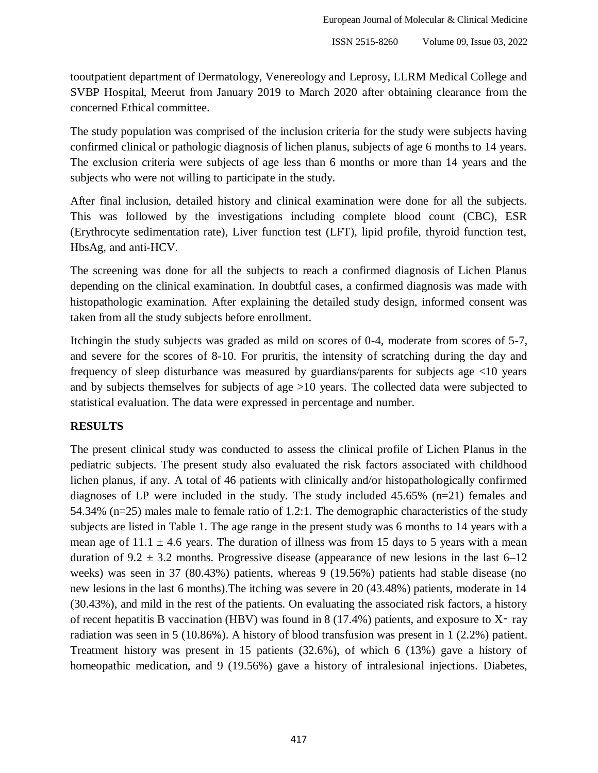tooutpatient department of Dermatology, Venereology and Leprosy, LLRM Medical College and SVBP Hospital, Meerut from January 2019 to March 2020 after obtaining clearance from the concerned Ethical committee.

The study population was comprised of the inclusion criteria for the study were subjects having confirmed clinical or pathologic diagnosis of lichen planus, subjects of age 6 months to 14 years. The exclusion criteria were subjects of age less than 6 months or more than 14 years and the subjects who were not willing to participate in the study.

After final inclusion, detailed history and clinical examination were done for all the subjects. This was followed by the investigations including complete blood count (CBC), ESR (Erythrocyte sedimentation rate), Liver function test (LFT), lipid profile, thyroid function test, HbsAg, and anti-HCV.

The screening was done for all the subjects to reach a confirmed diagnosis of Lichen Planus depending on the clinical examination. In doubtful cases, a confirmed diagnosis was made with histopathologic examination. After explaining the detailed study design, informed consent was taken from all the study subjects before enrollment.

Itchingin the study subjects was graded as mild on scores of 0-4, moderate from scores of 5-7, and severe for the scores of 8-10. For pruritis, the intensity of scratching during the day and frequency of sleep disturbance was measured by guardians/parents for subjects age <10 years and by subjects themselves for subjects of age >10 years. The collected data were subjected to statistical evaluation. The data were expressed in percentage and number.

#### **RESULTS**

The present clinical study was conducted to assess the clinical profile of Lichen Planus in the pediatric subjects. The present study also evaluated the risk factors associated with childhood lichen planus, if any. A total of 46 patients with clinically and/or histopathologically confirmed diagnoses of LP were included in the study. The study included 45.65% (n=21) females and 54.34% (n=25) males male to female ratio of 1.2:1. The demographic characteristics of the study subjects are listed in Table 1. The age range in the present study was 6 months to 14 years with a mean age of  $11.1 \pm 4.6$  years. The duration of illness was from 15 days to 5 years with a mean duration of  $9.2 \pm 3.2$  months. Progressive disease (appearance of new lesions in the last 6–12 weeks) was seen in 37 (80.43%) patients, whereas 9 (19.56%) patients had stable disease (no new lesions in the last 6 months).The itching was severe in 20 (43.48%) patients, moderate in 14 (30.43%), and mild in the rest of the patients. On evaluating the associated risk factors, a history of recent hepatitis B vaccination (HBV) was found in  $8(17.4%)$  patients, and exposure to X-ray radiation was seen in 5 (10.86%). A history of blood transfusion was present in 1 (2.2%) patient. Treatment history was present in 15 patients (32.6%), of which 6 (13%) gave a history of homeopathic medication, and 9 (19.56%) gave a history of intralesional injections. Diabetes,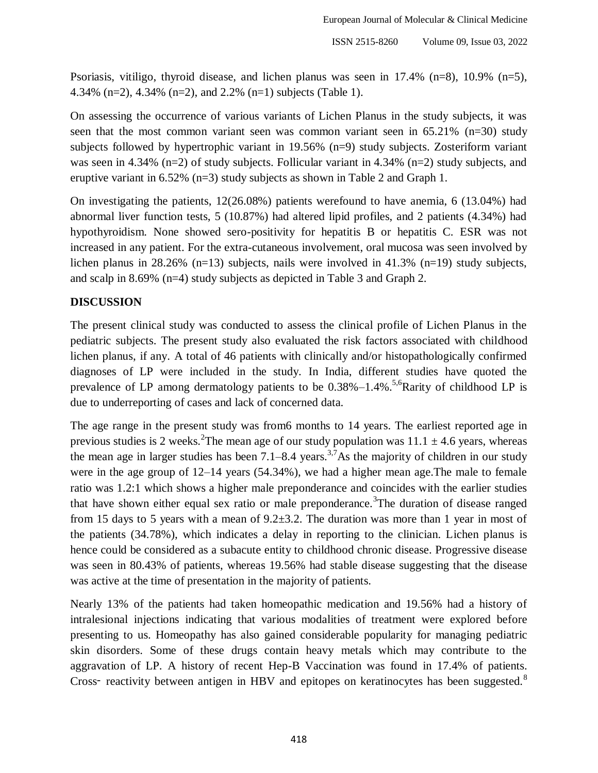Psoriasis, vitiligo, thyroid disease, and lichen planus was seen in 17.4% (n=8), 10.9% (n=5), 4.34% (n=2), 4.34% (n=2), and 2.2% (n=1) subjects (Table 1).

On assessing the occurrence of various variants of Lichen Planus in the study subjects, it was seen that the most common variant seen was common variant seen in  $65.21\%$  (n=30) study subjects followed by hypertrophic variant in 19.56% (n=9) study subjects. Zosteriform variant was seen in 4.34% (n=2) of study subjects. Follicular variant in 4.34% (n=2) study subjects, and eruptive variant in 6.52% (n=3) study subjects as shown in Table 2 and Graph 1.

On investigating the patients, 12(26.08%) patients werefound to have anemia, 6 (13.04%) had abnormal liver function tests, 5 (10.87%) had altered lipid profiles, and 2 patients (4.34%) had hypothyroidism. None showed sero-positivity for hepatitis B or hepatitis C. ESR was not increased in any patient. For the extra-cutaneous involvement, oral mucosa was seen involved by lichen planus in 28.26% (n=13) subjects, nails were involved in 41.3% (n=19) study subjects, and scalp in 8.69% (n=4) study subjects as depicted in Table 3 and Graph 2.

## **DISCUSSION**

The present clinical study was conducted to assess the clinical profile of Lichen Planus in the pediatric subjects. The present study also evaluated the risk factors associated with childhood lichen planus, if any. A total of 46 patients with clinically and/or histopathologically confirmed diagnoses of LP were included in the study. In India, different studies have quoted the prevalence of LP among dermatology patients to be  $0.38\%$  –1.4%.<sup>5,6</sup>Rarity of childhood LP is due to underreporting of cases and lack of concerned data.

The age range in the present study was from6 months to 14 years. The earliest reported age in previous studies is 2 weeks. <sup>2</sup>The mean age of our study population was  $11.1 \pm 4.6$  years, whereas the mean age in larger studies has been  $7.1-8.4$  years.<sup>3,7</sup>As the majority of children in our study were in the age group of 12–14 years (54.34%), we had a higher mean age.The male to female ratio was 1.2:1 which shows a higher male preponderance and coincides with the earlier studies that have shown either equal sex ratio or male preponderance.<sup>3</sup>The duration of disease ranged from 15 days to 5 years with a mean of  $9.2\pm3.2$ . The duration was more than 1 year in most of the patients (34.78%), which indicates a delay in reporting to the clinician. Lichen planus is hence could be considered as a subacute entity to childhood chronic disease. Progressive disease was seen in 80.43% of patients, whereas 19.56% had stable disease suggesting that the disease was active at the time of presentation in the majority of patients.

Nearly 13% of the patients had taken homeopathic medication and 19.56% had a history of intralesional injections indicating that various modalities of treatment were explored before presenting to us. Homeopathy has also gained considerable popularity for managing pediatric skin disorders. Some of these drugs contain heavy metals which may contribute to the aggravation of LP. A history of recent Hep-B Vaccination was found in 17.4% of patients. Cross– reactivity between antigen in HBV and epitopes on keratinocytes has been suggested.<sup>8</sup>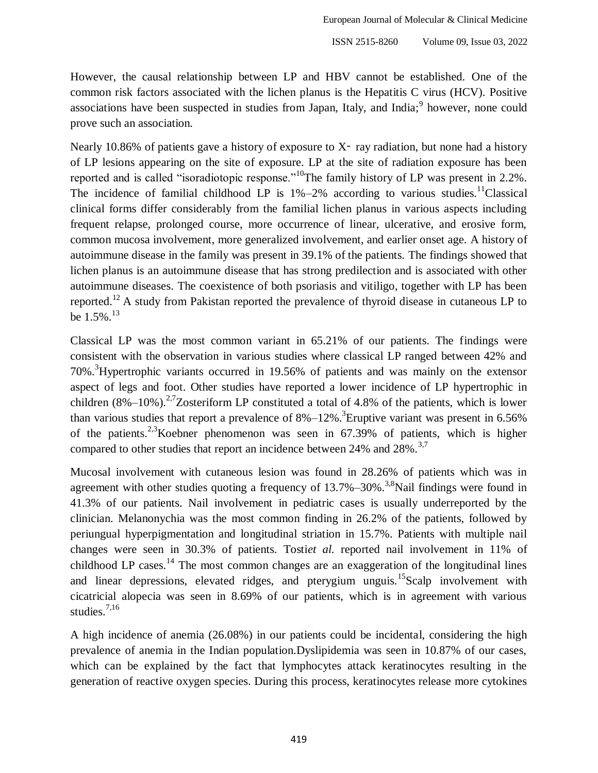However, the causal relationship between LP and HBV cannot be established. One of the common risk factors associated with the lichen planus is the Hepatitis C virus (HCV). Positive associations have been suspected in studies from Japan, Italy, and India;<sup>9</sup> however, none could prove such an association.

Nearly 10.86% of patients gave a history of exposure to  $X<sub>z</sub>$  ray radiation, but none had a history of LP lesions appearing on the site of exposure. LP at the site of radiation exposure has been reported and is called "isoradiotopic response."<sup>10</sup>The family history of LP was present in 2.2%. The incidence of familial childhood LP is  $1\% - 2\%$  according to various studies.<sup>11</sup>Classical clinical forms differ considerably from the familial lichen planus in various aspects including frequent relapse, prolonged course, more occurrence of linear, ulcerative, and erosive form, common mucosa involvement, more generalized involvement, and earlier onset age. A history of autoimmune disease in the family was present in 39.1% of the patients. The findings showed that lichen planus is an autoimmune disease that has strong predilection and is associated with other autoimmune diseases. The coexistence of both psoriasis and vitiligo, together with LP has been reported.<sup>12</sup> A study from Pakistan reported the prevalence of thyroid disease in cutaneous LP to be  $1.5\%$ <sup>13</sup>

Classical LP was the most common variant in 65.21% of our patients. The findings were consistent with the observation in various studies where classical LP ranged between 42% and 70%.<sup>3</sup>Hypertrophic variants occurred in 19.56% of patients and was mainly on the extensor aspect of legs and foot. Other studies have reported a lower incidence of LP hypertrophic in children  $(8\% - 10\%)$ .<sup>2,7</sup>Zosteriform LP constituted a total of 4.8% of the patients, which is lower than various studies that report a prevalence of  $8\% - 12\%$ .<sup>3</sup> Eruptive variant was present in 6.56% of the patients.<sup>2,3</sup>Koebner phenomenon was seen in 67.39% of patients, which is higher compared to other studies that report an incidence between  $24\%$  and  $28\%$ .<sup>3,7</sup>

Mucosal involvement with cutaneous lesion was found in 28.26% of patients which was in agreement with other studies quoting a frequency of  $13.7\% - 30\%$ .<sup>3,8</sup>Nail findings were found in 41.3% of our patients. Nail involvement in pediatric cases is usually underreported by the clinician. Melanonychia was the most common finding in 26.2% of the patients, followed by periungual hyperpigmentation and longitudinal striation in 15.7%. Patients with multiple nail changes were seen in 30.3% of patients. Tosti*et al.* reported nail involvement in 11% of childhood LP cases.<sup>14</sup> The most common changes are an exaggeration of the longitudinal lines and linear depressions, elevated ridges, and pterygium unguis.<sup>15</sup>Scalp involvement with cicatricial alopecia was seen in 8.69% of our patients, which is in agreement with various studies.<sup>7,16</sup>

A high incidence of anemia (26.08%) in our patients could be incidental, considering the high prevalence of anemia in the Indian population.Dyslipidemia was seen in 10.87% of our cases, which can be explained by the fact that lymphocytes attack keratinocytes resulting in the generation of reactive oxygen species. During this process, keratinocytes release more cytokines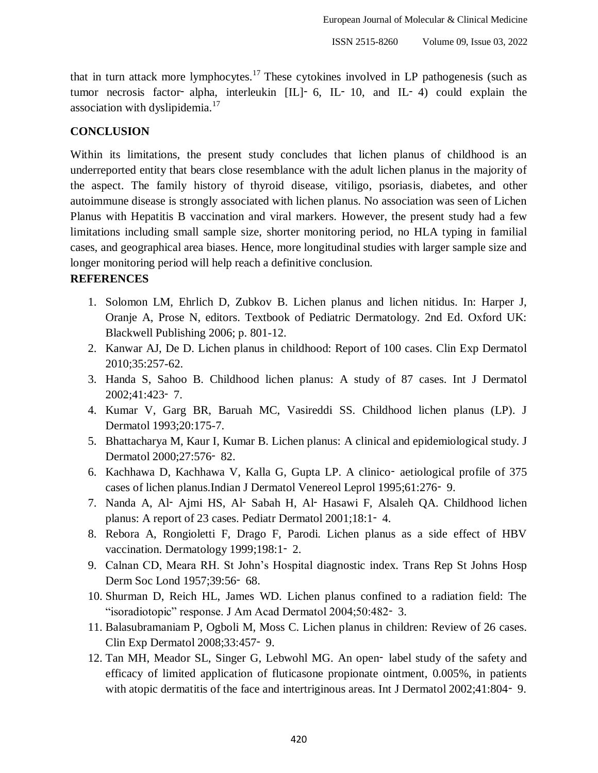that in turn attack more lymphocytes.<sup>17</sup> These cytokines involved in LP pathogenesis (such as tumor necrosis factor- alpha, interleukin [IL]– 6, IL– 10, and IL– 4) could explain the association with dyslipidemia.<sup>17</sup>

### **CONCLUSION**

Within its limitations, the present study concludes that lichen planus of childhood is an underreported entity that bears close resemblance with the adult lichen planus in the majority of the aspect. The family history of thyroid disease, vitiligo, psoriasis, diabetes, and other autoimmune disease is strongly associated with lichen planus. No association was seen of Lichen Planus with Hepatitis B vaccination and viral markers. However, the present study had a few limitations including small sample size, shorter monitoring period, no HLA typing in familial cases, and geographical area biases. Hence, more longitudinal studies with larger sample size and longer monitoring period will help reach a definitive conclusion.

#### **REFERENCES**

- 1. Solomon LM, Ehrlich D, Zubkov B. Lichen planus and lichen nitidus. In: Harper J, Oranje A, Prose N, editors. Textbook of Pediatric Dermatology. 2nd Ed. Oxford UK: Blackwell Publishing 2006; p. 801-12.
- 2. Kanwar AJ, De D. Lichen planus in childhood: Report of 100 cases. Clin Exp Dermatol 2010;35:257-62.
- 3. Handa S, Sahoo B. Childhood lichen planus: A study of 87 cases. Int J Dermatol 2002;41:423‑ 7.
- 4. Kumar V, Garg BR, Baruah MC, Vasireddi SS. Childhood lichen planus (LP). J Dermatol 1993;20:175-7.
- 5. Bhattacharya M, Kaur I, Kumar B. Lichen planus: A clinical and epidemiological study. J Dermatol 2000;27:576‑ 82.
- 6. Kachhawa D, Kachhawa V, Kalla G, Gupta LP. A clinico‑ aetiological profile of 375 cases of lichen planus.Indian J Dermatol Venereol Leprol 1995;61:276‑ 9.
- 7. Nanda A, Al‑ Ajmi HS, Al‑ Sabah H, Al‑ Hasawi F, Alsaleh QA. Childhood lichen planus: A report of 23 cases. Pediatr Dermatol 2001;18:1‑ 4.
- 8. Rebora A, Rongioletti F, Drago F, Parodi. Lichen planus as a side effect of HBV vaccination. Dermatology 1999;198:1-2.
- 9. Calnan CD, Meara RH. St John's Hospital diagnostic index. Trans Rep St Johns Hosp Derm Soc Lond 1957;39:56‑ 68.
- 10. Shurman D, Reich HL, James WD. Lichen planus confined to a radiation field: The "isoradiotopic" response. J Am Acad Dermatol 2004;50:482‑ 3.
- 11. Balasubramaniam P, Ogboli M, Moss C. Lichen planus in children: Review of 26 cases. Clin Exp Dermatol 2008;33:457‑ 9.
- 12. Tan MH, Meador SL, Singer G, Lebwohl MG. An open‑ label study of the safety and efficacy of limited application of fluticasone propionate ointment, 0.005%, in patients with atopic dermatitis of the face and intertriginous areas. Int J Dermatol 2002;41:804-9.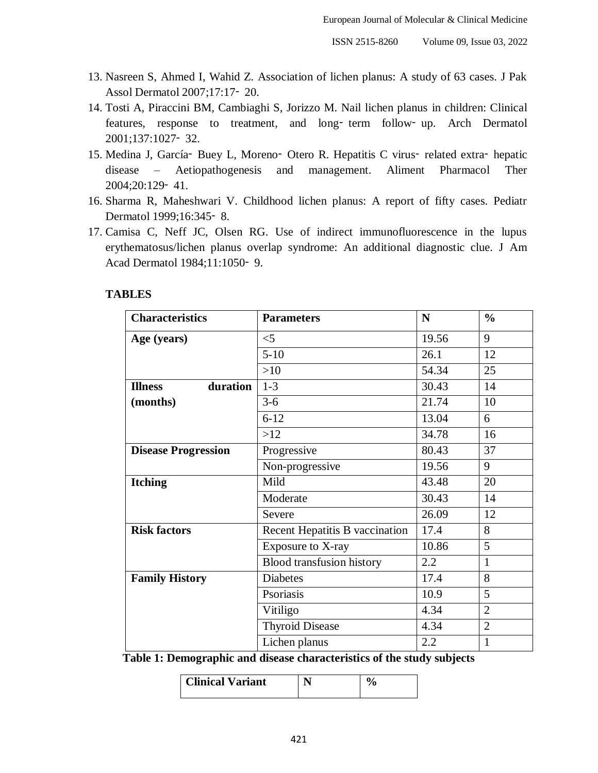- 13. Nasreen S, Ahmed I, Wahid Z. Association of lichen planus: A study of 63 cases. J Pak Assol Dermatol 2007;17:17‑ 20.
- 14. Tosti A, Piraccini BM, Cambiaghi S, Jorizzo M. Nail lichen planus in children: Clinical features, response to treatment, and long‑ term follow‑ up. Arch Dermatol 2001;137:1027‑ 32.
- 15. Medina J, García‑ Buey L, Moreno‑ Otero R. Hepatitis C virus‑ related extra‑ hepatic disease – Aetiopathogenesis and management. Aliment Pharmacol Ther 2004;20:129‑ 41.
- 16. Sharma R, Maheshwari V. Childhood lichen planus: A report of fifty cases. Pediatr Dermatol 1999;16:345‑ 8.
- 17. Camisa C, Neff JC, Olsen RG. Use of indirect immunofluorescence in the lupus erythematosus/lichen planus overlap syndrome: An additional diagnostic clue. J Am Acad Dermatol 1984;11:1050‑ 9.

#### **TABLES**

| <b>Characteristics</b>     | <b>Parameters</b>                | N     | $\frac{0}{0}$  |
|----------------------------|----------------------------------|-------|----------------|
| Age (years)                | $<$ 5                            | 19.56 | 9              |
|                            | $5-10$                           | 26.1  | 12             |
|                            | $>10$                            | 54.34 | 25             |
| duration<br><b>Illness</b> | $1 - 3$                          | 30.43 | 14             |
| (months)                   | $3-6$                            | 21.74 | 10             |
|                            | $6 - 12$                         | 13.04 | 6              |
|                            | >12                              | 34.78 | 16             |
| <b>Disease Progression</b> | Progressive                      | 80.43 | 37             |
|                            | Non-progressive                  | 19.56 | 9              |
| <b>Itching</b>             | Mild                             | 43.48 | 20             |
|                            | Moderate                         | 30.43 | 14             |
|                            | Severe                           | 26.09 | 12             |
| <b>Risk factors</b>        | Recent Hepatitis B vaccination   | 17.4  | 8              |
|                            | Exposure to X-ray                | 10.86 | 5              |
|                            | <b>Blood transfusion history</b> | 2.2   | $\mathbf{1}$   |
| <b>Family History</b>      | <b>Diabetes</b>                  | 17.4  | 8              |
|                            | Psoriasis                        | 10.9  | 5              |
|                            | Vitiligo                         | 4.34  | $\overline{2}$ |
|                            | <b>Thyroid Disease</b>           | 4.34  | $\overline{2}$ |
|                            | Lichen planus                    | 2.2   | $\mathbf{1}$   |

**Table 1: Demographic and disease characteristics of the study subjects**

| <b>Clinical Variant</b> |  |  |  |
|-------------------------|--|--|--|
|-------------------------|--|--|--|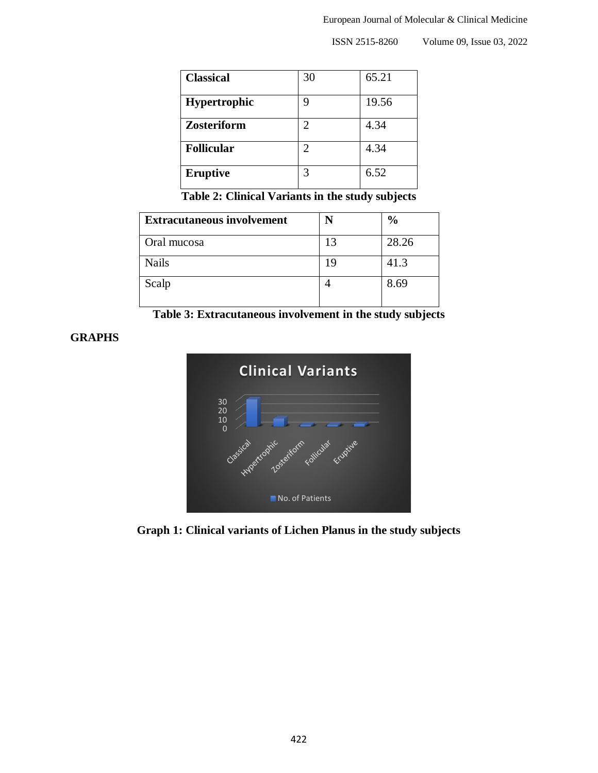ISSN 2515-8260 Volume 09, Issue 03, 2022

| <b>Classical</b>    | 30 | 65.21 |
|---------------------|----|-------|
| <b>Hypertrophic</b> | 9  | 19.56 |
| <b>Zosteriform</b>  | 2  | 4.34  |
| <b>Follicular</b>   | 2  | 4.34  |
| <b>Eruptive</b>     | 3  | 6.52  |

**Table 2: Clinical Variants in the study subjects**

| <b>Extracutaneous involvement</b> |    | $\frac{0}{0}$ |
|-----------------------------------|----|---------------|
| Oral mucosa                       | 13 | 28.26         |
| <b>Nails</b>                      | 19 | 41.3          |
| Scalp                             |    | 8.69          |

**Table 3: Extracutaneous involvement in the study subjects**

#### **GRAPHS**



**Graph 1: Clinical variants of Lichen Planus in the study subjects**